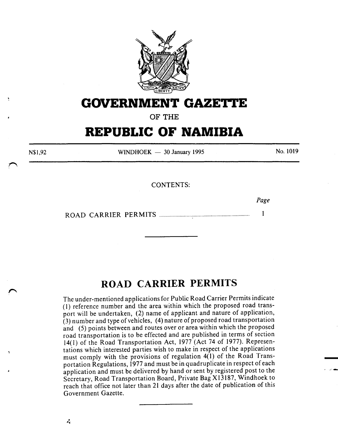

## **GOVERNMENT GAZETTE**

OF THE

# **REPUBLIC OF NAMIBIA**

N\$1,92

WINDHOEK  $-$  30 January 1995

No. 1019

- . \_, ........

CONTENTS:

*Page*   $\mathbf{1}$ ROAD CARRIER PERMITS ................................................................. .

## **ROAD CARRIER PERMITS**

The under-mentioned applications for Public Road Carrier Permits indicate (I) reference number and the area within which the proposed road transport will be undertaken, (2) name of applicant and nature of application, (3} number and type of vehicles, (4) nature of proposed road transportation and (5) points between and routes over or area within which the proposed road transportation is to be effected and are published in terms of section 14(1) of the Road Transportation Act, 1977 (Act 74 of 1977). Representations which interested parties wish to make in respect of the applications must comply with the provisions of regulation 4(1) of the Road Transportation Regulations, 1977 and must be in quadruplicate in respect of each application and must be delivered by hand or sent by registered post to the Secretary, Road Transportation Board, Private Bag X13187, Windhoek to reach that office not later than 21 days after the date of publication of this Government Gazette.

Ń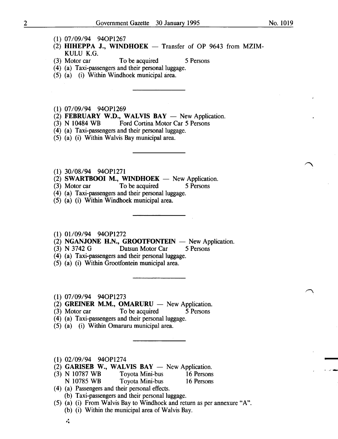- . ...........

- (1) 07/09/94 940P1267
- (2) HIHEPPA J., WINDHOEK  $-$  Transfer of OP 9643 from MZIM-KULU K.G.
- (3) Motor car To be acquired 5 Persons
- (4) (a) Taxi-passengers and their personal luggage.
- (5) (a) (i) Within Windhoek municipal area.

(1) 07/09/94 940P1269

- (2) FEBRUARY W.D., WALVIS BAY  $-$  New Application.
- (3) N 10484 WB Ford Cortina Motor Car 5 Persons
- (4) (a) Taxi-passengers and their personal luggage.
- (5) (a) (i) Within Walvis Bay municipal area.
- (1) 30/08/94 940P1271
- $(2)$  SWARTBOOI M., WINDHOEK New Application.
- (3) Motor car To be acquired 5 Persons
- (4) (a) Taxi-passengers and their personal luggage.
- (5) (a) (i) Within Windhoek municipal area.
- (1) 01109/94 940P1272
- (2) NGANJONE H.N., GROOTFONTEIN  $-$  New Application.
- (3) N 3742 G Datsun Motor Car 5 Persons
- (4) (a) Taxi-passengers and their personal luggage.
- (5) (a) (i) Within Grootfontein municipal area.
- (1) 07/09/94 940P1273
- (2) GREINER M.M., OMARURU  $-$  New Application.
- (3) Motor car To be acquired 5 Persons
- (4) (a) Taxi-passengers and their personal luggage.
- (5) (a) (i) Within Omaruru municipal area.
- (1) 02/09/94 940P1274

**، مار** 

- (2) GARISEB W., WALVIS  $BAY New Application$ .
- (3) N 10787 WB Toyota Mini-bus 16 Persons N 10785 WB Toyota Mini-bus 16 Persons
- ( 4) (a) Passengers and their personal effects.
	- (b) Taxi-passengers and their personal luggage.
- (5) (a) (i) From Walvis Bay to Windhoek and return as per annexure "A".
	- (b) (i) Within the municipal area of Walvis Bay.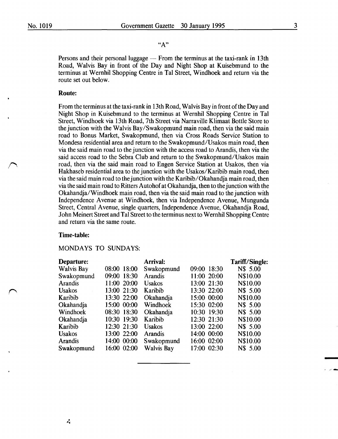## "A"

Persons and their personal luggage  $-$  From the terminus at the taxi-rank in 13th Road, Walvis Bay in front of the Day and Night Shop at Kuisebmund to the terminus at Wernhil Shopping Centre in Tal Street, Windhoek and return via the route set out below.

#### Route:

From the terminus at the taxi-rank in 13th Road, Walvis Bay in front of the Day and Night Shop in Kuisebmund to the terminus at Wernhil Shopping Centre in Tal Street, Windhoek via 13th Road, 7th Street via Narraville Klimaat Bottle Store to the junction with the Walvis Bay/Swakopmund main road, then via the said main road to Bonus Market, Swakopmund, then via Cross Roads Service Station to Mondesa residential area and return to the Swakopmund/Usakos main road, then via the said main road to the junction with the access road to Arandis, then via the said access road to the Sebra Club and return to the Swakopmund/Usakos main road, then via the said main road to Engen Service Station at Usakos, then via Hakhaseb residential area to the junction with the Usakos/Karibib main road, then via the said main road to the junction with the Karibib/Okahandja main road, then via the said main road to Ritters Autohof at Okahandja, then to the junction with the Okahandja/Windhoek main road, then via the said main road to the junction with Independence Avenue at Windhoek, then via Independence Avenue, Mungunda Street, Central Avenue, single quarters, Independence Avenue, Okahandja Road, John Meinert Street and Tal Street to the terminus next to Wernhil Shopping Centre and return via the same route.

#### Time-table:

#### MONDAYS TO SUNDAYS:

| Departure:        |             | Arrival:          |             | Tariff/Single: |
|-------------------|-------------|-------------------|-------------|----------------|
| <b>Walvis Bay</b> | 08:00 18:00 | Swakopmund        | 09:00 18:30 | N\$ 5.00       |
| Swakopmund        | 09:00 18:30 | <b>Arandis</b>    | 11:00 20:00 | N\$10.00       |
| Arandis           | 11:00 20:00 | <b>Usakos</b>     | 13:00 21:30 | N\$10.00       |
| <b>Usakos</b>     | 13:00 21:30 | Karibib           | 13:30 22:00 | N\$ 5.00       |
| Karibib           | 13:30 22:00 | Okahandja         | 15:00 00:00 | N\$10.00       |
| Okahandja         | 15:00 00:00 | Windhoek          | 15:30 02:00 | N\$ 5.00       |
| Windhoek          | 08:30 18:30 | Okahandja         | 10:30 19:30 | N\$ 5.00       |
| Okahandja         | 10:30 19:30 | Karibib           | 12:30 21:30 | N\$10.00       |
| Karibib           | 12:30 21:30 | <b>Usakos</b>     | 13:00 22:00 | N\$ 5.00       |
| <b>Usakos</b>     | 13:00 22:00 | Arandis           | 14:00 00:00 | N\$10.00       |
| <b>Arandis</b>    | 14:00 00:00 | Swakopmund        | 16:00 02:00 | N\$10.00       |
| Swakopmund        | 16:00 02:00 | <b>Walvis Bay</b> | 17:00 02:30 | N\$ 5.00       |

3

-

I\_\_, . ...,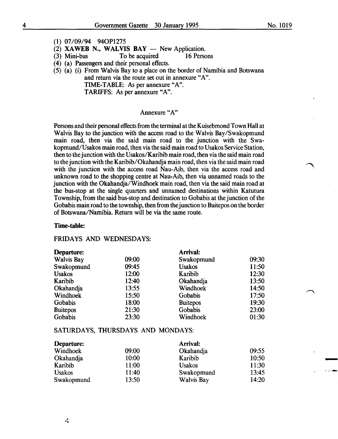$\bigcap$ 

-

~ ..... -, .....

- (1) 07/09/94 940P1275
- (2) XAWEB N., WALVIS BAY  $-$  New Application.<br>(3) Mini-bus To be acquired 16 Persons

To be acquired

- ( 4) (a) Passengers and their personal effects.
- (5) (a) (i) From Walvis Bay to a place on the border of Namibia and Botswana and return via the route set out in annexure "A".
	- TIME-TABLE: As per annexure "A".

TARIFFS: As per annexure "A".

## Annexure "A"

Persons and their personal effects from the terminal at the Kuisebmond Town Hall at Walvis Bay to the junction with the access road to the Walvis Bay/Swakopmund main road, then via the said main road to the junction with the Swakopmund/Usakos main road, then via the said main road to Usakos Service Station, then to the junction with the Usakos/Karibib main road, then via the said main road to the junction with the Karibib/ Okahandja main road, then via the said main road with the junction with the access road Nau-Aib, then via the access road and unknown road to the shopping centre at Nau-Aib, then via unnamed roads to the junction with the Okahandja/Windhoek main road, then via the said main road at the bus-stop at the single quarters and unnamed destinations within Katutura Township, from the said bus-stop and destination to Gobabis at the junction of the Gobabis main road to the township, then from the junction to Buitepos on the border of Botswana/Namibia. Return will be via the same route.

## Time-table:

#### FRIDAYS AND WEDNESDAYS:

| Departure:        |       | <b>Arrival:</b> |       |
|-------------------|-------|-----------------|-------|
| <b>Walvis Bay</b> | 09:00 | Swakopmund      | 09:30 |
| Swakopmund        | 09:45 | <b>Usakos</b>   | 11:50 |
| <b>Usakos</b>     | 12:00 | Karibib         | 12:30 |
| Karibib           | 12:40 | Okahandja       | 13:50 |
| Okahandja         | 13:55 | Windhoek        | 14:50 |
| Windhoek          | 15:50 | Gobabis         | 17:50 |
| Gobabis           | 18:00 | <b>Buitepos</b> | 19:30 |
| <b>Buitepos</b>   | 21:30 | Gobabis         | 23:00 |
| Gobabis           | 23:30 | Windhoek        | 01:30 |

## SATURDAYS, THURSDAYS AND MONDAYS:

| Departure:    |       | Arrival:          |       |
|---------------|-------|-------------------|-------|
| Windhoek      | 09:00 | Okahandja         | 09:55 |
| Okahandja     | 10:00 | Karibib           | 10:50 |
| Karibib       | 11:00 | <b>Usakos</b>     | 11:30 |
| <b>Usakos</b> | 11:40 | Swakopmund        | 13:45 |
| Swakopmund    | 13:50 | <b>Walvis Bay</b> | 14:20 |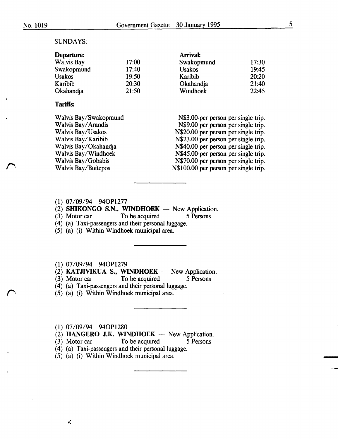#### SUNDAYS:

| Departure:    |       | Arrival:      |       |
|---------------|-------|---------------|-------|
| Walvis Bay    | 17:00 | Swakopmund    | 17:30 |
| Swakopmund    | 17:40 | <b>Usakos</b> | 19:45 |
| <b>Usakos</b> | 19:50 | Karibib       | 20:20 |
| Karibib       | 20:30 | Okahandja     | 21:40 |
| Okahandja     | 21:50 | Windhoek      | 22:45 |

## Tariffs:

Walvis Bay/Swakopmund Walvis Bay/ Arandis Walvis Bay/Usakos Walvis Bay/Karibib Walvis Bay/Okahandja Walvis Bay/Windhoek Walvis Bay/Gobabis Walvis Bay/Buitepos

|  |  | N\$3.00 per person per single trip.   |  |  |
|--|--|---------------------------------------|--|--|
|  |  | N\$9.00 per person per single trip.   |  |  |
|  |  | N\$20.00 per person per single trip.  |  |  |
|  |  | N\$23.00 per person per single trip.  |  |  |
|  |  | N\$40.00 per person per single trip.  |  |  |
|  |  | N\$45.00 per person per single trip.  |  |  |
|  |  | N\$70.00 per person per single trip.  |  |  |
|  |  | N\$100.00 per person per single trip. |  |  |
|  |  |                                       |  |  |

- (1) 07/09/94 940Pl277
- (2) SHIKONGO S.N., WINDHOEK New Application.<br>(3) Motor car To be acquired 5 Persons
- To be acquired 5 Persons
- (4) (a) Taxi-passengers and their personal luggage.
- (5) (a) (i) Within Windhoek municipal area.

(1) 07/09/94 940P1279

(2) KATJIVIKUA S., WINDHOEK  $-$  New Application.

(3) Motor car To be acquired 5 Persons

(4) (a) Taxi-passengers and their personal luggage.

(5) (a) (i) Within Windhoek municipal area.

#### (1) 07/09/94 940P1280

 $(2)$  HANGERO J.K. WINDHOEK - New Application.

(3) Motor car To be acquired 5 Persons

(4) (a) Taxi-passengers and their personal luggage.

(5) (a) (i) Within Windhoek municipal area.

5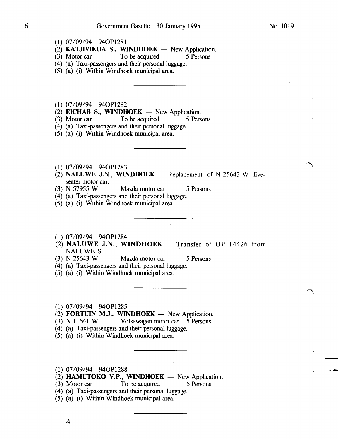- (1) 07/09/94 940P1281
- (2) KATJIVIKUA S., WINDHOEK  $-$  New Application.
- (3) Motor car To be acquired 5 Persons
- (4) (a) Taxi-passengers and their personal luggage.
- (5) (a) (i) Within Windhoek municipal area.
- (1) 07/09/94 940P1282
- (2) EICHAB S., WINDHOEK  $-$  New Application.
- (3) Motor car To be acquired 5 Persons
- (4) (a) Taxi-passengers and their personal luggage.
- (5) (a) (i) Within Windhoek municipal area.
- (1) 07/09/94 940P1283
- (2) NALUWE J.N., WINDHOEK  $-$  Replacement of N 25643 W fiveseater motor car.<br>(3) N 57955 W
- Mazda motor car 5 Persons
- (4) (a) Taxi-passengers and their personal luggage.
- (5) (a) (i) Within Windhoek municipal area.
- (1) 07/09/94 940P1284
- (2) NALUWE J.N., WINDHOEK  $-$  Transfer of OP 14426 from **NALUWE S.**<br>(3) **N** 25643 **W**
- Mazda motor car 5 Persons
- (4) (a) Taxi-passengers and their personal luggage.
- (5) (a) (i) Within Windhoek municipal area.
- (1) 07/09/94 940P1285
- $(2)$  **FORTUIN M.J., WINDHOEK** New Application.
- (3) N 11541 W Volkswagen motor car 5 Persons
- (4) (a) Taxi-passengers and their personal luggage.
- (5) (a) (i) Within Windhoek municipal area.
- (1) 07/09/94 940P1288
- $(2)$  HAMUTOKO V.P., WINDHOEK New Application.
- (3) Motor car To be acquired 5 Persons
- (4) (a) Taxi-passengers and their personal luggage.
- (5) (a) (i) Within Windhoek municipal area .

• *1\,j*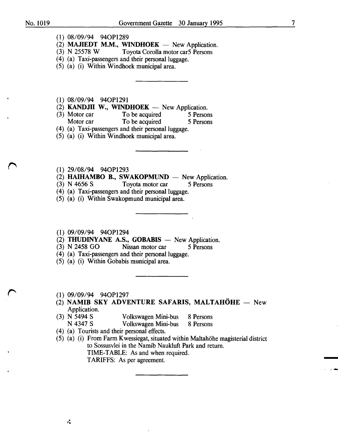7

- (1) 08/09/94 940P1289
- (2) **MAJIEDT M.M., WINDHOEK** New Application.<br>(3) N 25578 W Toyota Corolla motor car5 Persons
- Toyota Corolla motor car5 Persons
- (4) (a) Taxi-passengers and their personal luggage.
- (5) (a) (i) Within Windhoek municipal area.
- (1) 08/09/94 940P1291
- (2) **KANDJII W., WINDHOEK** New Application.<br>(3) Motor car To be acquired 5 Person
- Motor car To be acquired 5 Persons<br>Motor car To be acquired 5 Persons To be acquired 5 Persons
- (4) (a) Taxi-passengers and their personal luggage.
- (5) (a) (i) Within Windhoek municipal area.
- (1) 29/08/94 940P1293
- (2) **HAIHAMBO B., SWAKOPMUND** New Application.<br>(3) N 4656 S Tovota motor car 5 Persons
- Toyota motor car 5 Persons
- (4) (a) Taxi-passengers and their personal luggage.
- (5) (a) (i) Within Swakopmund municipal area.
- (1) 09/09/94 940P1294
- (2) **THUDINYANE A.S., GOBABIS** New Application.<br>(3) N 2458 GO Nissan motor car 5 Persons
- Nissan motor car 5 Persons
- (4) (a) Taxi-passengers and their personal luggage.
- (5) (a) (i) Within Gobabis municipal area.
- $(1)$  09/09/94 94OP1297
- (2) NAMIB SKY ADVENTURE SAFARIS, MALTAHÖHE New Application.
- (3) N 5494 S<br>N 4347 S<br>Volkswagen Mini-bus 8 Persons
	- Volkswagen Mini-bus 8 Persons
- ( 4) (a) Tourists and their personal effects.
- (5) (a) (i) From Farm Kwessiegat, situated within Maltahohe magisterial district to Sossusvlei in the Namib Naukluft Park and return. TIME-TABLE: As and when required. TARIFFS: As per agreement.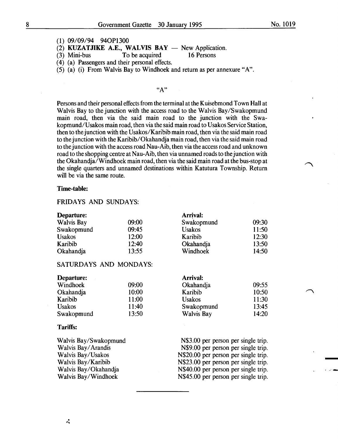- (1) 09/09/94 940P1300
- (2) KUZATJIKE A.E., WALVIS BAY  $-$  New Application.<br>(3) Mini-bus To be acquired 16 Persons
	- To be acquired
- ( 4) (a) Passengers and their personal effects.
- (5) (a) (i) From Walvis Bay to Windhoek and return as per annexure "A".

#### "A"

Persons and their personal effects from the terminal at the Kuisebmond Town Hall at Walvis Bay to the junction with the access road to the Walvis Bay/Swakopmund main road, then via the said main road to the junction with the Swakopmund/Usakos main road, then via the said main road to Usakos Service Station, then to the junction with the Usakos/Karibib main road, then via the said main road to the junction with the Karibib/ Okahandja main road, then via the said main road to the junction with the access road Nau-Aib, then via the access road and unknown road to the shopping centre at Nau-Aib, then via unnamed roads to the junction with the Okahandja/Windhoek main road, then via the said main road at the bus-stop at the single quarters and unnamed destinations within Katutura Township. Return will be via the same route.

#### Time-table:

## FRIDAYS AND SUNDAYS:

| Departure:        |       | <b>Arrival:</b> |       |
|-------------------|-------|-----------------|-------|
| <b>Walvis Bay</b> | 09:00 | Swakopmund      | 09:30 |
| Swakopmund        | 09:45 | <b>Usakos</b>   | 11:50 |
| <b>Usakos</b>     | 12:00 | Karibib         | 12:30 |
| Karibib           | 12:40 | Okahandja       | 13:50 |
| Okahandja         | 13:55 | Windhoek        | 14:50 |

## SATURDAYS AND MONDAYS:

| Departure:    |       | <b>Arrival:</b>   |       |
|---------------|-------|-------------------|-------|
| Windhoek      | 09:00 | Okahandja         | 09:55 |
| Okahandja     | 10:00 | Karibib           | 10:50 |
| Karibib       | 11:00 | <b>Usakos</b>     | 11:30 |
| <b>Usakos</b> | 11:40 | Swakopmund        | 13:45 |
| Swakopmund    | 13:50 | <b>Walvis Bay</b> | 14:20 |

#### Tariffs:

| Walvis Bay/Swakopmund | N\$3.00 per person per single trip.  |
|-----------------------|--------------------------------------|
| Walvis Bay/Arandis    | N\$9.00 per person per single trip.  |
| Walvis Bay/Usakos     | N\$20.00 per person per single trip. |
| Walvis Bay/Karibib    | N\$23.00 per person per single trip. |
| Walvis Bay/Okahandja  | N\$40.00 per person per single trip. |
| Walvis Bay/Windhoek   | N\$45.00 per person per single trip. |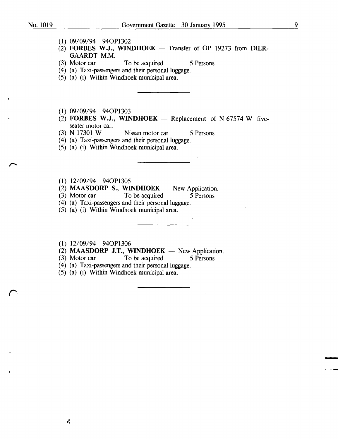- (1) 09/09/94 940Pl302
- $(2)$  FORBES W.J., WINDHOEK Transfer of OP 19273 from DIER-GAARDT M.M.<br>(3) Motor car
- To be acquired 5 Persons
- ( 4) (a) Taxi-passengers and their personal luggage.
- (5) (a) (i) Within Windhoek municipal area.
- (1) 09/09/94 940Pl303
- (2) FORBES W.J., WINDHOEK  $-$  Replacement of N 67574 W fiveseater motor car.<br>(3)  $\overline{N}$  17301 W
- Nissan motor car 5 Persons
- (4) (a) Taxi-passengers and their personal luggage.
- (5) (a) (i) Within Windhoek municipal area.
- (1) 12/09/94 940Pl305
- (2) **MAASDORP S., WINDHOEK**  $-$  New Application.<br>(3) Motor car To be acquired 5 Persons
- To be acquired
- (4) (a) Taxi-passengers and their personal luggage.
- (5) (a) (i) Within Windhoek municipal area.
- (1) 12/09/94 940Pl306

٨Å

- (2) **MAASDORP J.T., WINDHOEK** New Application.<br>(3) Motor car To be acquired 5 Persons
- To be acquired 5 Persons
- ( 4) (a) Taxi-passengers and their personal luggage.
- (5) (a) (i) Within Windhoek municipal area.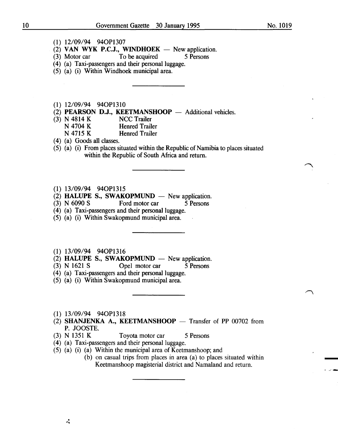- (1) 12/09/94 940P1307
- $(2)$  VAN WYK P.C.J., WINDHOEK New application.
- (3) Motor car To be acquired 5 Persons
- (4) (a) Taxi-passengers and their personal luggage.
- (5) (a) (i) Within Windhoek municipal area.
- (1) 12/09/94 940P1310
- (2) **PEARSON D.J., KEETMANSHOOP** Additional vehicles.<br>(3) N 4814 K NCC Trailer
- (3) N 4814 K<br>N 4704 K
	- N 4704 K<br>N 4715 K<br>Henred Trailer
		- Henred Trailer
- ( 4) (a) Goods all classes.
- (5) (a) (i) From places situated within the Republic of Namibia to places situated within the Republic of South Africa and return.
- (1) 13/09/94 940P1315
- (2) HALUPE S., SWAKOPMUND New application.<br>(3) N 6090 S Ford motor car 5 Persons
- Ford motor car 5 Persons
- (4) (a) Taxi-passengers and their personal luggage.
- (5) (a) (i) Within Swakopmund municipal area.
- (1) 13/09/94 940P1316
- (2) HALUPE S., SWAKOPMUND  $-$  New application.
- (3) N 1621 S Opel motor car 5 Persons
- (4) (a) Taxi-passengers and their personal luggage.
- (5) (a) (i) Within Swakopmund municipal area.
- (1) 13/09/94 940P1318
- (2) SHANJENKA A., KEETMANSHOOP  $-$  Transfer of PP 00702 from P. JOOSTE.
- (3) N 1351 K Toyota motor car 5 Persons
- (4) (a) Taxi-passengers and their personal luggage.
- (5) (a) (i) (a) Within the municipal area of Keetmanshoop; and
	- (b) on casual trips from places in area (a) to places situated within Keetmanshoop magisterial district and Namaland and return.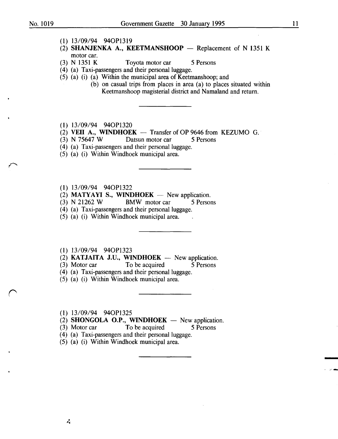-<br>-<br>-

- (1) 13/09/94 940P1319
- (2) SHANJENKA A., KEETMANSHOOP  $-$  Replacement of N 1351 K motor car.
- (3) N 1351 K Toyota motor car 5 Persons
- (4) (a) Taxi-passengers and their personal luggage.
- (5) (a) (i) (a) Within the municipal area of Keetmanshoop; and
	- (b) on casual trips from places in area (a) to places situated within Keetmanshoop magisterial district and Namaland and return.
- (1) 13/09/94 940P1320
- (2) VEII A., WINDHOEK  $-$  Transfer of OP 9646 from KEZUMO G.
- (3) N 75647 W Datsun motor car 5 Persons
- (4) (a) Taxi-passengers and their personal luggage.
- (5) (a) (i) Within Windhoek municipal area.
- (1) 13/09/94 940P1322
- (2) MATYAYI S., WINDHOEK  $-$  New application.
- (3) N 21262 W BMW motor car 5 Persons
- ( 4) (a) Taxi-passengers and their personal luggage.
- (5) (a) (i) Within Windhoek municipal area.

(1) 13/09/94 940P1323

 $(2)$  KATJAITA J.U., WINDHOEK - New application.

(3) Motor car To be acquired 5 Persons

- (4) (a) Taxi-passengers and their personal luggage.
- (5) (a) (i) Within Windhoek municipal area.

(1) 13/09/94 940P1325

- (2) SHONGOLA O.P., WINDHOEK  $-$  New application.
- (3) Motor car To be acquired 5 Persons
- (4) (a) Taxi-passengers and their personal luggage.
- (5) (a) (i) Within Windhoek municipal area.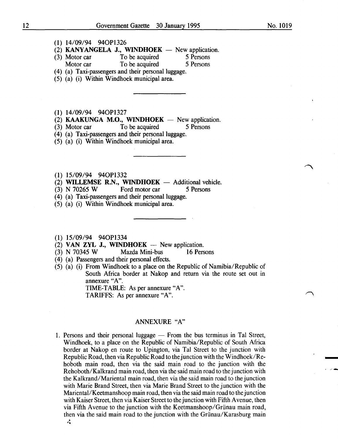I \_.;' ....

- (1) 14/09/94 940Pl326
- (2) **KANYANGELA J., WINDHOEK**  $-$  New application.<br>(3) Motor car  $\qquad \qquad$  To be acquired  $\qquad \qquad$  5 Persons
- (3) Motor car To be acquired 5 Persons<br>Motor car To be acquired 5 Persons Motor car To be acquired
- (4) (a) Taxi-passengers and their personal luggage.
- (5) (a) (i) Within Windhoek municipal area.

(1) 14/09/94 940Pl327

- (2) KAAKUNGA M.O., WINDHOEK  $-$  New application.
- (3) Motor car To be acquired 5 Persons
- (4) (a) Taxi-passengers and their personal luggage.
- (5) (a) (i) Within Windhoek municipal area.
- (1) 15/09/94 940Pl332
- (2) WILLEMSE R.N., WINDHOEK  $-$  Additional vehicle.<br>(3) N 70265 W Ford motor car 5 Persons
- (3) N 70265 W Ford motor car 5 Persons
- (4) (a) Taxi-passengers and their personal luggage.
- (5) (a) (i) Within Windhoek municipal area.
- (1) 15/09/94 940Pl334
- 
- (2) VAN ZYL J., WINDHOEK -- New application.<br>(3) N 70345 W Mazda Mini-bus 16 Pers Mazda Mini-bus 16 Persons
- (4) (a) Passengers and their personal effects.
- (5) (a) (i) From Windhoek to a place on the Republic of Namibia/Republic of South Africa border at Nakop and return via the route set out in annexure "A".
	- TIME-TABLE: As per annexure "A".

TARIFFS: As per annexure "A".

## ANNEXURE "A"

1. Persons and their personal luggage  $-$  From the bus terminus in Tal Street, Windhoek, to a place on the Republic of Namibia/Republic of South Africa border at Nakop en route to Upington, via Tal Street to the junction with Republic Road, then via Republic Road to the junction with the Windhoek/Rehoboth main road, then via the said main road to the junction with the Rehoboth/Kalkrand main road, then via the said main road to the junction with the Kalkrand/Mariental main road, then via the said main road to the junction with Marie Brand Street, then via Marie Brand Street to the junction with the Mariental/Keetmanshoop main road, then via the said main road to the junction with Kaiser Street, then via Kaiser Street to the junction with Fifth Avenue, then via Fifth Avenue to the junction with the Keetmanshoop/Griinau main road, then via the said main road to the junction with the Griinau/Karasburg main  $\mathcal{L}$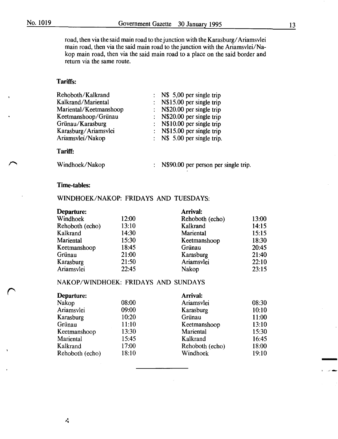road, then via the said main road to the junction with the Karasburg/Ariamsvlei main road, then via the said main road to the junction with the Ariamsvlei/Nakop main road, then via the said main road to a place on the said border and return via the same route.

## Tariffs:

| Rehoboth/Kalkrand      | $\therefore$ N\$ 5,00 per single trip |
|------------------------|---------------------------------------|
| Kalkrand/Mariental     | : $N$15.00$ per single trip           |
| Mariental/Keetmanshoop | : $N$20.00$ per single trip           |
| Keetmanshoop/Grünau    | : N\$20.00 per single trip            |
| Grünau/Karasburg       | : N\$10.00 per single trip            |
| Karasburg/Ariamsvlei   | : $N$15.00$ per single trip           |
| Ariamsvlei/Nakop       | : $N\$ 5.00 per single trip.          |
|                        |                                       |

#### Tariff:

Windhoek/Nakop

N\$90.00 per person per single trip.

#### Time-tables:

Ŵ

## WINDHOEK/NAKOP: FRIDAYS AND TUESDAYS:

| Departure:      |       | Arrival:        |       |
|-----------------|-------|-----------------|-------|
| Windhoek        | 12:00 | Rehoboth (echo) | 13:00 |
| Rehoboth (echo) | 13:10 | Kalkrand        | 14:15 |
| Kalkrand        | 14:30 | Mariental       | 15:15 |
| Mariental       | 15:30 | Keetmanshoop    | 18:30 |
| Keetmanshoop    | 18:45 | Grünau          | 20:45 |
| Grünau          | 21:00 | Karasburg       | 21:40 |
| Karasburg       | 21:50 | Ariamsvlei      | 22:10 |
| Ariamsvlei      | 22:45 | Nakop           | 23:15 |
|                 |       |                 |       |

## NAKOP/WINDHOEK: FRIDAYS AND SUNDAYS

| Departure:      |       | Arrival:         |       |
|-----------------|-------|------------------|-------|
| Nakop           | 08:00 | Ariamsvlei       | 08:30 |
| Ariamsvlei      | 09:00 | Karasburg        | 10:10 |
| Karasburg       | 10:20 | Grünau           | 11:00 |
| Grünau          | 11:10 | Keetmanshoop     | 13:10 |
| Keetmanshoop    | 13:30 | <b>Mariental</b> | 15:30 |
| Mariental       | 15:45 | Kalkrand         | 16:45 |
| Kalkrand        | 17:00 | Rehoboth (echo)  | 18:00 |
| Rehoboth (echo) | 18:10 | Windhoek         | 19:10 |

-

' *A·-*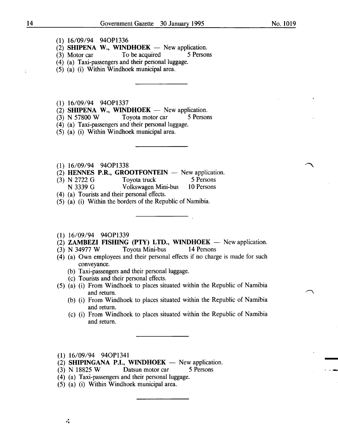- (2) **SHIPENA W., WINDHOEK** New application.<br>(3) Motor car To be acquired 5 Persons
- $(3)$  Motor car To be acquired
- (4) (a) Taxi-passengers and their personal luggage.
- (5) (a) (i) Within Windhoek municipal area.
- (1) 16/09/94 940Pl337
- (2) **SHIPENA W., WINDHOEK** New application.<br>(3) N 57800 W Tovota motor car 5 Persons
- $(3)$  N 57800 W Toyota motor car
- (4) (a) Taxi-passengers and their personal luggage.
- (5) (a) (i) Within Windhoek municipal area.
- (1) 16/09/94 940Pl338
- (2) **HENNES P.R., GROOTFONTEIN** New application.<br>(3) N 2722 G Toyota truck 5 Persons
- (3) N 2722 G Toyota truck 5 Persons<br>
N 3339 G Volkswagen Mini-bus 10 Persons
- Volkswagen Mini-bus
- ( 4) (a) Tourists and their personal effects.
- (5) (a) (i) Within the borders of the Republic of Namibia.

#### (1) 16/09/94 940Pl339

- (2) **ZAMBEZI FISHING (PTY) LTD., WINDHOEK** New application.<br>(3) N 34977 W Toyota Mini-bus 14 Persons
- $(3)$  N 34977 W Toyota Mini-bus
- (4) (a) Own employees and their personal effects if no charge is made for such conveyance.
	- (b) Taxi-passengers and their personal luggage.
	- (c) Tourists and their personal effects.
- (5) (a) (i) From Windhoek to places situated within the Republic of Namibia and return.
	- (b) (i) From Windhoek to places situated within the Republic of Namibia and return.
	- (c) (i) From Windhoek to places situated within the Republic of Namibia and return.
- (1) 16/09/94 940Pl341

 $\mathcal{L}_{\mathbf{I}}$ 

- $(2)$  SHIPINGANA P.I., WINDHOEK  $-$  New application.
- (3) N 18825 W Datsun motor car 5 Persons
- (4) (a) Taxi-passengers and their personal luggage.
- (5) (a) (i) Within Windhoek municipal area .

ċ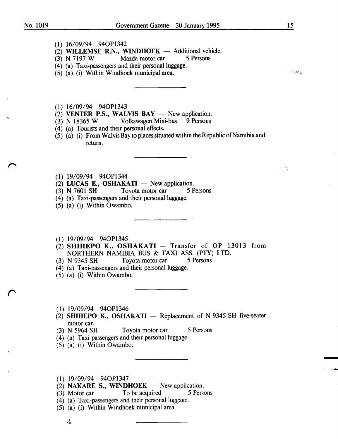$\mathcal{L}^{\text{max}}$ 

- (1) 16/09/94 940Pl342
- (2) WILLEMSE R.N., WINDHOEK Additional vehicle.<br>
(3) N 7197 W Mazda motor car 5 Persons
- Mazda motor car
- (4) (a) Taxi-passengers and their personal luggage.
- (5) (a) (i) Within Windhoek municipal area.

والمنتزعات

-

 $\mathbf{I} = \mathbf{I}$  ,  $\mathbf{I} = \mathbf{I}$  , and then

- (1) 16/09/94 940Pl343
- $(2)$  VENTER P.S., WALVIS BAY New application.
- (3) N 18365 W Volkswagen Mini-bus 9 Persons
- ( 4) (a) Tourists and their personal effects.
- (5) (a) (i) From Walvis Bay to places situated within the Republic of Namibia and return.
- (1) 19/09/94 940P1344
- (2) LUCAS E., OSHAKATI  $-$  New application.
- (3) N 7601 SH Toyota motor car 5 Persons
- (4) (a) Taxi-passengers and their personal luggage.
- (5) (a) (i) Within Owambo.
- (1) 19/09/94 940P1345
- $(2)$  SHIHEPO K., OSHAKATI Transfer of OP 13013 from NORTHERN NAMIBIA BUS & TAXI ASS. (PTY) LTD.
- (3) N 9345 SH Toyota motor car 5 Persons
- (4) (a) Taxi-passengers and their personal luggage.
- (5) (a) (i) Within Owambo.
- (1) 19/09/94 940P1346
- (2) SHIHEPO K., OSHAKATI  $-$  Replacement of N 9345 SH five-seater motor car.<br>(3) N 5964 SH
- Toyota motor car 5 Persons
- (4) (a) Taxi-passengers and their personal luggage.
- (5) (a) (i) Within Owambo.
- (1) 19/09/94 940P1347
- $(2)$  NAKARE S., WINDHOEK New application.
- (3) Motor car To be acquired 5 Persons
- (4) (a) Taxi-passengers and their personal luggage.
- (5) (a) (i) Within Windhoek municipal area.
	- 式